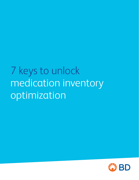# 7 keys to unlock medication inventory optimization

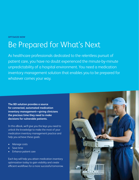### **OPTIMIZE NOW**

## Be Prepared for What's Next

As healthcare professionals dedicated to the relentless pursuit of patient care, you have no doubt experienced the minute-by-minute unpredictability of a hospital environment. You need a medication inventory management solution that enables you to be prepared for whatever comes your way.

**The BD solution provides a source for connected, automated medication inventory management—giving clinicians the precious time they need to make decisions for vulnerable patients.** 

In this eBook, we'll give you the keys you need to unlock the knowledge to make the most of your medication inventory management practice and help you achieve these goals:

- Manage costs
- Save time
- Enhance patient care

Each key will help you attain medication inventory optimization today to gain visibility and create efficient workflows for a more successful tomorrow.

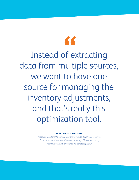Instead of extracting data from multiple sources, we want to have one source for managing the inventory adjustments, and that's really this optimization tool. **"** Instead of extracting

**David Webster, RPh, MSBA**

*Associate Director of Pharmacy Operations, Assistant Professor of Clinical Community and Preventive Medicine, University of Rochester, Strong Memorial Hospital, discussing the benefits of HSIO1*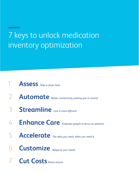**CONTENTS**

# 7 keys to unlock medication inventory optimization



- **[Automate](#page-6-0)** *Better connectivity, putting you in control*
- **[Streamline](#page-8-0)** *Less is more efficient*
- **[Enhance Care](#page-10-0)** *Empower people to focus on patients*
- **[Accelerate](#page-13-0)** *The data you need, when you need it*
- *Adapt to your needs* **[Customize](#page-16-0)**
- **[Cut Costs](#page-18-0)** *Boost returns*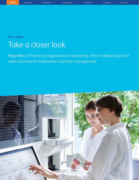<span id="page-4-0"></span>**KEY 1: ASSESS** 

## Take a closer look

Regardless of how your organization is operating, there is always space for safer and smarter medication inventory management.

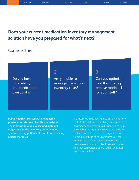### **Does your current medication inventory management solution have you prepared for what's next?**

### Consider this:

Do you have full visibility into medication availability?

Are you able to manage medication inventory costs?

### **1 2 3**

Can you optimize workflows to help remove roadblocks for your staff?

**Public health crises can put unexpected pressure and strain on healthcare systems. These situations can expose and highlight major gaps in the inventory management system, leaving patients at risk of not receiving crucial therapies.**

A critical step in achieving medication inventory optimization is to uncover the gaps in central pharmacy and overall drug distribution, to help ensure that the right medications are ready for patients. With a platform that organizes and tracks a multitude of drug products, you can experience scalable inventory management in ways you've never been able to visualize before. And that can better prepare you for whatever the future might hold.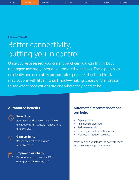<span id="page-6-0"></span>**KEY 2: AUTOMATE**

## Better connectivity, putting you in control

Once you've assessed your current practices, you can think about managing inventory through automated workflows. These processes efficiently and accurately procure, pick, prepare, check and track medications with little manual input—making it easy and effortless to see where medications are and where they need to be.

### **Automated benefits**



### **Save time**

Automate reorders based on par levels and reduce total inventory management time by 89%.<sup>2</sup>

### **Gain visibility**

Reduce medication expiration waste by 58%.<sup>2</sup>



### **Improve availability**

Decrease stockout rates by 47% on average, without overbuying.3

### **Automated recommendations can help:**

- Adjust par levels
- Minimize stockout rates
- Reduce overstock
- Positively impact expiration waste
- Promote distribution accuracy

Which can give your team the power to react faster to changing patient demands.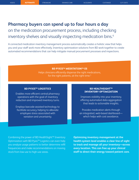## **Pharmacy buyers can spend up to four hours a day**  on the medication procurement process, including checking inventory shelves and visually inspecting medication bins.<sup>4</sup>

A connected medication inventory management process automatically creates a holistic view that helps you and your staff work more effectively. Inventory optimization solutions from BD work together to create automated recommendations that can help mitigate manual procurement processes and inspections.

### **BD PYXIS™ MEDSTATION™ ES**

Helps clinicians efficiently dispense the right medications, for the right patients, at the right time.<sup>5</sup>

### **BD PYXISTM LOGISTICS BD HEALTHSIGHTTM**

**INVENTORY OPTIMIZATION** Enables more efficient central pharmacy operations with the goal of inventory reduction and improved inventory turns.

Employs barcode-assisted technology to facilitate accuracy, helping to alleviate employee stress associated with variation and uncertainty.

Improves visibility into your inventory, offering automated data aggregation that leads to actionable insights.

Provides medication alerts through an integrated, web-based dashboard which helps with cost avoidance.

Combining the power of BD HealthSight™ Inventory Optimization with BD Pyxis™ Logistics can even help you analyze usage patterns to better determine refill frequencies and make recommendations on moving stock from low-use to high-use areas.

**Optimizing inventory management at the health-system level enables a clear line of sight to track and manage all your inventory—across every location. This can free up your clinical staff to direct their energy toward patient care.**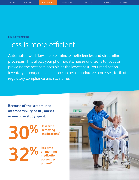<span id="page-8-0"></span>**KEY 3: STREAMLINE**

## Less is more efficient

Automated workflows help eliminate inefficiencies and streamline processes. This allows your pharmacists, nurses and techs to focus on providing the best care possible at the lowest cost. Your medication inventory management solution can help standardize processes, facilitate regulatory compliance and save time.

**Because of the streamlined interoperability of BD, nurses in one case study spent:**

**less time 30% 32%**

**removing medications6**

**less time on morning medication passes per patient6**

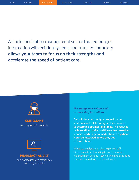A single medication management source that exchanges information with existing systems and a unified formulary **allows your team to focus on their strengths and accelerate the speed of patient care.** 



**CLINICIANS** can engage with patients.



**PHARMACY AND IT** can work to improve efficiencies and mitigate costs.

*This transparency often leads to fewer staff frustrations.*

**Our solutions can analyze usage data on stockouts and refills during set time periods to determine optimal refill times. This reduces tech workflow conflicts with care teams—when a nurse needs to get a medication to a patient, it can be restocked before they get to that cabinet.**

Advanced analytics can also help make refill trips more efficient, working toward one major replenishment per day—saving time and alleviating stress associated with misplaced meds.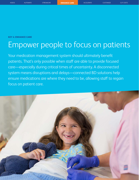<span id="page-10-0"></span>**KEY 4: ENHANCE CARE**

# Empower people to focus on patients

Your medication management system should ultimately benefit patients. That's only possible when staff are able to provide focused care—especially during critical times of uncertainty. A disconnected system means disruptions and delays—connected BD solutions help ensure medications are where they need to be, allowing staff to regain focus on patient care.

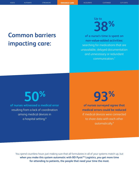## **Common barriers impacting care:**

**Up to 38%**

**of a nurse's time is spent on non-value-added activities:** searching for medications that are unavailable, delayed documentation and unnecessary or redundant communication.7

**of nurses witnessed a medical error** resulting from a lack of coordination among medical devices in a hospital setting.<sup>8</sup>

# **93% 50%**

**of nurses surveyed agree that medical errors could be reduced** if medical devices were connected to share data with each other automatically.9

You spend countless hours just making sure that all formularies in all of your systems match up, but when you make this system automatic with BD Pyxis<sup>™</sup> Logistics, you get more time **for attending to patients, the people that need your time the most.**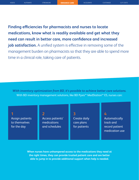**Finding efficiencies for pharmacists and nurses to locate medications, know what is readily available and get what they need can result in better care, more confidence and increased job satisfaction.** A unified system is effective in removing some of the management burden on pharmacists so that they are able to spend more time in a clinical role, taking care of patients.

*With inventory optimization from BD, it's possible to achieve better care solutions.*  With BD inventory management solutions, like BD Pyxis™ MedStation™ ES, nurses can:

Assign patients to themselves for the day

Access patients' medications and schedules **1 2 3 4**

Create daily care plans for patients

Automatically track and record patient medication use

**When nurses have unhampered access to the medications they need at the right times, they can provide trusted patient care and are better able to jump in to provide additional support when help is needed.**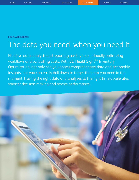### <span id="page-13-0"></span>**KEY 5: ACCELERATE**

## The data you need, when you need it

Effective data, analysis and reporting are key to continually optimizing workflows and controlling costs. With BD HealthSight™ Inventory Optimization, not only can you access comprehensive data and actionable insights, but you can easily drill down to target the data you need in the moment. Having the right data and analyses at the right time accelerates smarter decision-making and boosts performance.

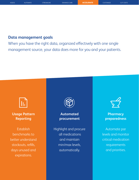### **Data management goals**

When you have the right data, organized effectively with one single management source, your data does more for you and your patients.



**Usage Pattern Reporting**

Establish benchmarks to better understand stockouts, refills, days unused and expirations.



**Automated procurement**

Highlight and procure all medications and maintain min/max levels, automatically.



**Pharmacy preparedness**

Automate par levels and monitor critical medication requirements and priorities.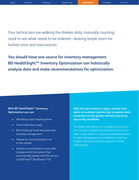Your technicians are walking the shelves daily, manually counting stock to see what needs to be ordered—leaving ample room for human error and inaccuracies.

**You should have one source for inventory management. BD HealthSight™ Inventory Optimization can holistically analyze data and make recommendations for optimization.** 

### **With BD HealthSight™ Inventory Optimization you can:**

- Effortlessly check inventory levels
- Track medication usage
- Benchmark par levels and automate inventory management
- Prepare for new medications out on the market
- Accept recommendations and make changes within the system that automatically update both the servers and BD Pyxis<sup>™</sup> MedStation<sup>™</sup> ES

**With this optimization in place, manual time spent on multiple machine trips to update stock movement can be greatly reduced, improving day-to-day workflows.** 

The system also allows you to easily look back and see how your changes have improved over time, in order to plan ahead. A singular standardized system for data management and medication inventory results in thousands of hours saved on manual management.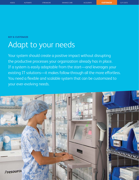### <span id="page-16-0"></span>**KEY 6: CUSTOMIZE**

## Adapt to your needs

Your system should create a positive impact without disrupting the productive processes your organization already has in place. If a system is easily adaptable from the start—and leverages your existing IT solutions—it makes follow-through all the more effortless. You need a flexible and scalable system that can be customized to your ever-evolving needs.

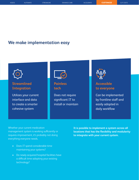### **We make implementation easy**



### **Streamlined Integration**

Utilizes your current interface and data to create a smarter cohesive system



### **Painless tech**

Does not require significant IT to install or maintain



### **Accessible to everyone**

Can be implemented by frontline staff and easily adopted in daily workflow

Whether your current medication management system is working sufficiently or requires improvement, it's probably not doing everything everyone needs.

- Does IT spend considerable time maintaining your systems?
- Do newly acquired hospital facilities have a difficult time adopting your existing technology?

**It is possible to implement a system across all locations that has the flexibility and modularity to integrate with your current system.**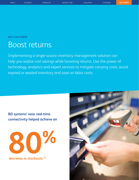**KEY 7: CUT COSTS**

## Boost returns

Implementing a single-source inventory management solution can help you realize cost savings while boosting returns. Use the power of technology, analytics and expert services to mitigate carrying costs, avoid expired or wasted inventory and save on labor costs.

**BD systems' near real-time connectivity helped achieve an**

**80%**

**decrease in stockouts.10**

<span id="page-18-0"></span>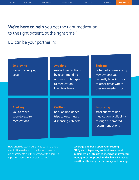[ASSESS](#page-4-0) [AUTOMATE](#page-6-0) [STREAMLINE](#page-8-0) [ENHANCE CARE](#page-10-0) [ACCELERATE](#page-13-0) [CUSTOMIZE](#page-16-0) **CUT COSTS**

## **We're here to help** you get the right medication to the right patient, at the right time.<sup>5</sup>

### BD can be your partner in:

| <b>Improving</b><br>inventory carrying<br>costs                 | <b>Avoiding</b><br>wasted medications<br>by recommending<br>automatic changes<br>to medication<br>inventory levels | <b>Shifting</b><br>potentially unnecessary<br>medications you<br>currently have in stock<br>to other areas where<br>they are needed most |
|-----------------------------------------------------------------|--------------------------------------------------------------------------------------------------------------------|------------------------------------------------------------------------------------------------------------------------------------------|
| <b>Alerting</b><br>you to move<br>soon-to-expire<br>medications | <b>Cutting</b><br>back on unplanned<br>trips to automated<br>dispensing cabinets                                   | <b>Improving</b><br>stockout rates and<br>medication availability<br>through automated<br>recommendations                                |

How often do technicians need to run a single medication order up to the floor? How often do pharmacists exit their workflow to address a repeated order that was stocked out?

**Leverage and build upon your existing BD Pyxis™ dispensing cabinet investment to implement an integrated medication inventory management approach and achieve increased workflow efficiency for pharmacy and nursing.**